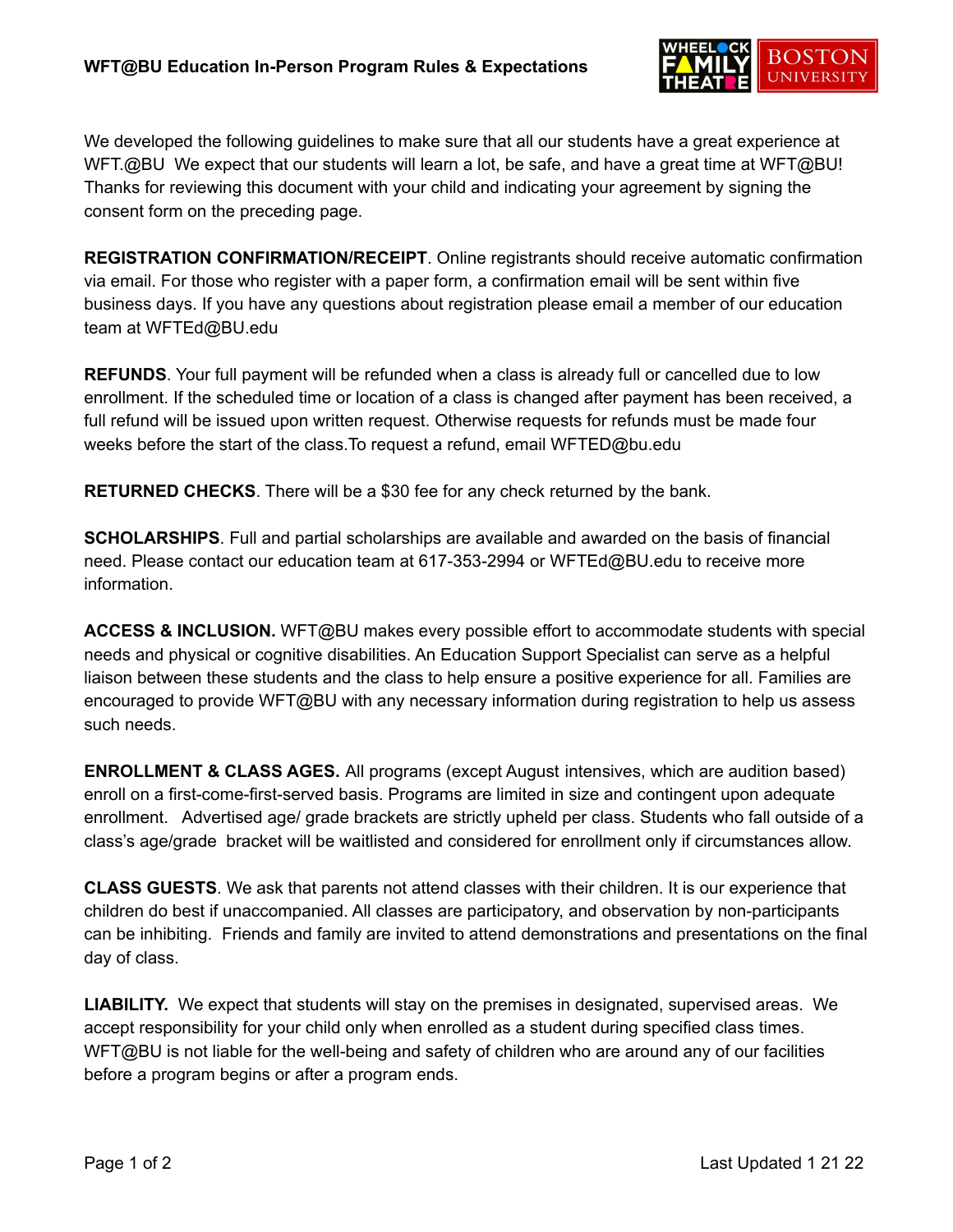

We developed the following guidelines to make sure that all our students have a great experience at WFT.@BU We expect that our students will learn a lot, be safe, and have a great time at WFT@BU! Thanks for reviewing this document with your child and indicating your agreement by signing the consent form on the preceding page.

**REGISTRATION CONFIRMATION/RECEIPT**. Online registrants should receive automatic confirmation via email. For those who register with a paper form, a confirmation email will be sent within five business days. If you have any questions about registration please email a member of our education team at WFTEd@BU.edu

**REFUNDS**. Your full payment will be refunded when a class is already full or cancelled due to low enrollment. If the scheduled time or location of a class is changed after payment has been received, a full refund will be issued upon written request. Otherwise requests for refunds must be made four weeks before the start of the class.To request a refund, email WFTED@bu.edu

**RETURNED CHECKS**. There will be a \$30 fee for any check returned by the bank.

**SCHOLARSHIPS**. Full and partial scholarships are available and awarded on the basis of financial need. Please contact our education team at 617-353-2994 or WFTEd@BU.edu to receive more information.

**ACCESS & INCLUSION.** WFT@BU makes every possible effort to accommodate students with special needs and physical or cognitive disabilities. An Education Support Specialist can serve as a helpful liaison between these students and the class to help ensure a positive experience for all. Families are encouraged to provide WFT@BU with any necessary information during registration to help us assess such needs.

**ENROLLMENT & CLASS AGES.** All programs (except August intensives, which are audition based) enroll on a first-come-first-served basis. Programs are limited in size and contingent upon adequate enrollment. Advertised age/ grade brackets are strictly upheld per class. Students who fall outside of a class's age/grade bracket will be waitlisted and considered for enrollment only if circumstances allow.

**CLASS GUESTS**. We ask that parents not attend classes with their children. It is our experience that children do best if unaccompanied. All classes are participatory, and observation by non-participants can be inhibiting. Friends and family are invited to attend demonstrations and presentations on the final day of class.

**LIABILITY.** We expect that students will stay on the premises in designated, supervised areas. We accept responsibility for your child only when enrolled as a student during specified class times. WFT@BU is not liable for the well-being and safety of children who are around any of our facilities before a program begins or after a program ends.